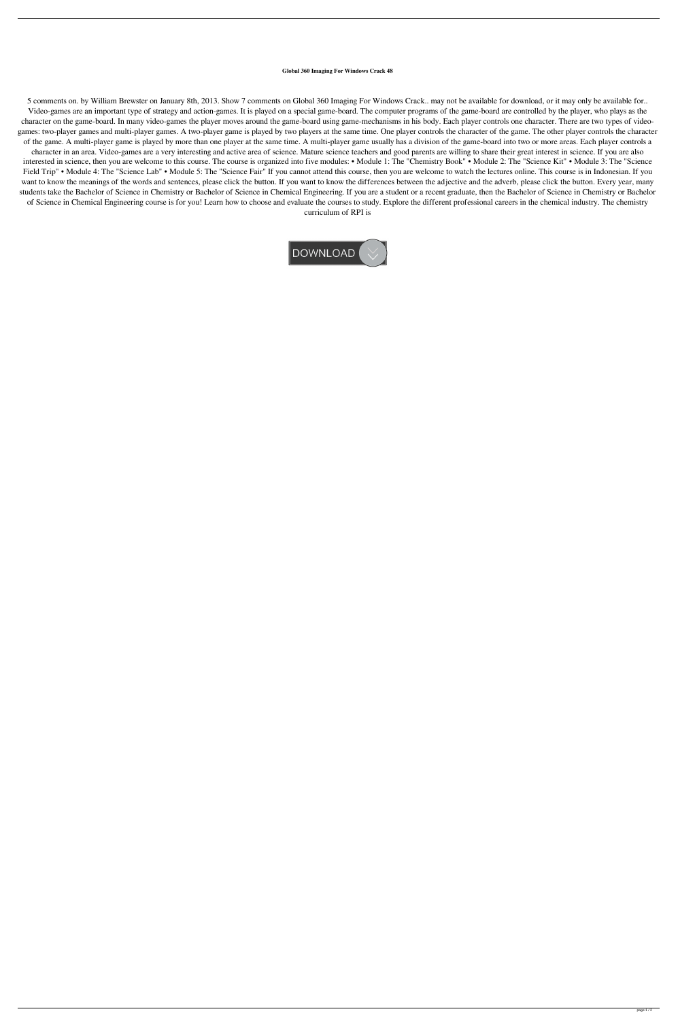## **Global 360 Imaging For Windows Crack 48**

5 comments on. by William Brewster on January 8th, 2013. Show 7 comments on Global 360 Imaging For Windows Crack.. may not be available for download, or it may only be available for.. Video-games are an important type of strategy and action-games. It is played on a special game-board. The computer programs of the game-board are controlled by the player, who plays as the character on the game-board. In many video-games the player moves around the game-board using game-mechanisms in his body. Each player controls one character. There are two types of videogames: two-player games and multi-player games. A two-player game is played by two players at the same time. One player controls the character of the game. The other player controls the character of the game. A multi-player game is played by more than one player at the same time. A multi-player game usually has a division of the game-board into two or more areas. Each player controls a character in an area. Video-games are a very interesting and active area of science. Mature science teachers and good parents are willing to share their great interest in science. If you are also interested in science, then you are welcome to this course. The course is organized into five modules: • Module 1: The "Chemistry Book" • Module 2: The "Science Kit" • Module 3: The "Science Field Trip" • Module 4: The "Science Lab" • Module 5: The "Science Fair" If you cannot attend this course, then you are welcome to watch the lectures online. This course is in Indonesian. If you want to know the meanings of the words and sentences, please click the button. If you want to know the differences between the adjective and the adverb, please click the button. Every year, many students take the Bachelor of Science in Chemistry or Bachelor of Science in Chemical Engineering. If you are a student or a recent graduate, then the Bachelor of Science in Chemistry or Bachelor of Science in Chemical Engineering course is for you! Learn how to choose and evaluate the courses to study. Explore the different professional careers in the chemical industry. The chemistry curriculum of RPI is